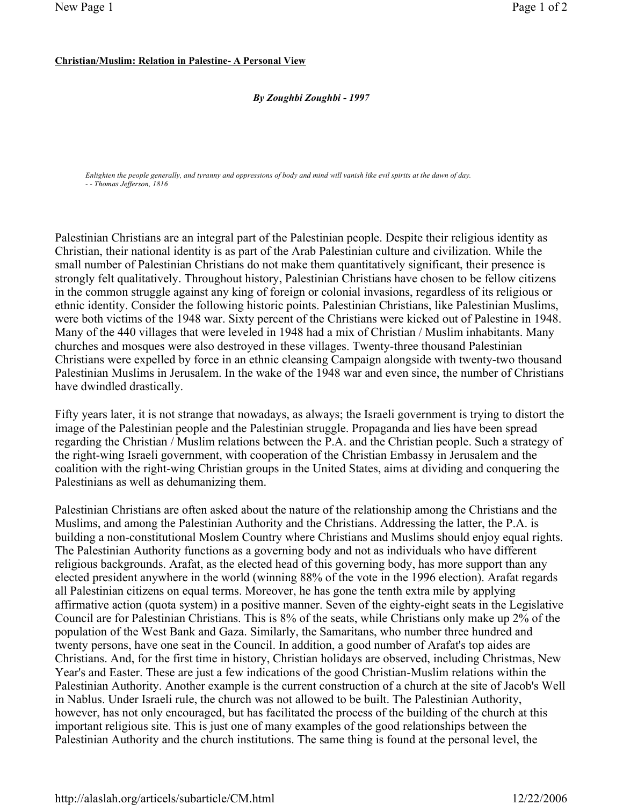## Christian/Muslim: Relation in Palestine- A Personal View

## By Zoughbi Zoughbi - 1997

Enlighten the people generally, and tyranny and oppressions of body and mind will vanish like evil spirits at the dawn of day. - - Thomas Jefferson, 1816

Palestinian Christians are an integral part of the Palestinian people. Despite their religious identity as Christian, their national identity is as part of the Arab Palestinian culture and civilization. While the small number of Palestinian Christians do not make them quantitatively significant, their presence is strongly felt qualitatively. Throughout history, Palestinian Christians have chosen to be fellow citizens in the common struggle against any king of foreign or colonial invasions, regardless of its religious or ethnic identity. Consider the following historic points. Palestinian Christians, like Palestinian Muslims, were both victims of the 1948 war. Sixty percent of the Christians were kicked out of Palestine in 1948. Many of the 440 villages that were leveled in 1948 had a mix of Christian / Muslim inhabitants. Many churches and mosques were also destroyed in these villages. Twenty-three thousand Palestinian Christians were expelled by force in an ethnic cleansing Campaign alongside with twenty-two thousand Palestinian Muslims in Jerusalem. In the wake of the 1948 war and even since, the number of Christians have dwindled drastically.

Fifty years later, it is not strange that nowadays, as always; the Israeli government is trying to distort the image of the Palestinian people and the Palestinian struggle. Propaganda and lies have been spread regarding the Christian / Muslim relations between the P.A. and the Christian people. Such a strategy of the right-wing Israeli government, with cooperation of the Christian Embassy in Jerusalem and the coalition with the right-wing Christian groups in the United States, aims at dividing and conquering the Palestinians as well as dehumanizing them.

Palestinian Christians are often asked about the nature of the relationship among the Christians and the Muslims, and among the Palestinian Authority and the Christians. Addressing the latter, the P.A. is building a non-constitutional Moslem Country where Christians and Muslims should enjoy equal rights. The Palestinian Authority functions as a governing body and not as individuals who have different religious backgrounds. Arafat, as the elected head of this governing body, has more support than any elected president anywhere in the world (winning 88% of the vote in the 1996 election). Arafat regards all Palestinian citizens on equal terms. Moreover, he has gone the tenth extra mile by applying affirmative action (quota system) in a positive manner. Seven of the eighty-eight seats in the Legislative Council are for Palestinian Christians. This is 8% of the seats, while Christians only make up 2% of the population of the West Bank and Gaza. Similarly, the Samaritans, who number three hundred and twenty persons, have one seat in the Council. In addition, a good number of Arafat's top aides are Christians. And, for the first time in history, Christian holidays are observed, including Christmas, New Year's and Easter. These are just a few indications of the good Christian-Muslim relations within the Palestinian Authority. Another example is the current construction of a church at the site of Jacob's Well in Nablus. Under Israeli rule, the church was not allowed to be built. The Palestinian Authority, however, has not only encouraged, but has facilitated the process of the building of the church at this important religious site. This is just one of many examples of the good relationships between the Palestinian Authority and the church institutions. The same thing is found at the personal level, the